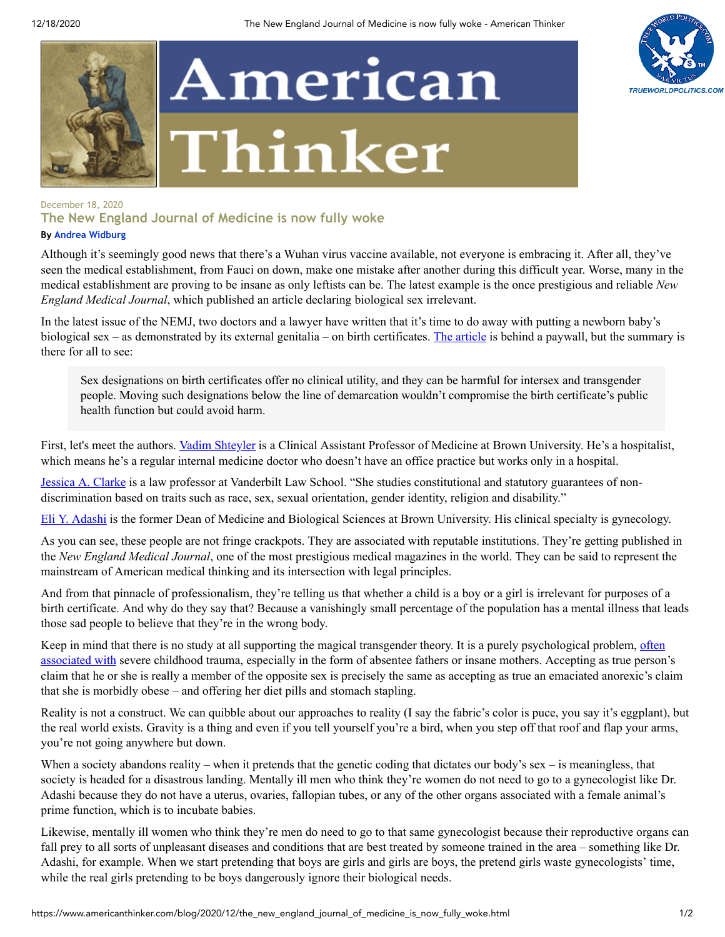12/18/2020 The New England Journal of Medicine is now fully woke - American Thinker





## American Thinker

## December 18, 2020 **The New England Journal of Medicine is now fully woke By Andrea [Widburg](https://www.americanthinker.com/author/andreawidburg/)**

Although it's seemingly good news that there's a Wuhan virus vaccine available, not everyone is embracing it. After all, they've seen the medical establishment, from Fauci on down, make one mistake after another during this difficult year. Worse, many in the medical establishment are proving to be insane as only leftists can be. The latest example is the once prestigious and reliable *New England Medical Journal*, which published an article declaring biological sex irrelevant.

In the latest issue of the NEMJ, two doctors and a lawyer have written that it's time to do away with putting a newborn baby's biological sex – as demonstrated by its external genitalia – on birth certificates. The [article](https://www.nejm.org/doi/full/10.1056/NEJMp2025974) is behind a paywall, but the summary is there for all to see:

Sex designations on birth certificates offer no clinical utility, and they can be harmful for intersex and transgender people. Moving such designations below the line of demarcation wouldn't compromise the birth certificate's public health function but could avoid harm.

First, let's meet the authors. Vadim [Shteyler](https://vivo.brown.edu/display/vshteyle) is a Clinical Assistant Professor of Medicine at Brown University. He's a hospitalist, which means he's a regular internal medicine doctor who doesn't have an office practice but works only in a hospital.

[Jessica](https://law.vanderbilt.edu/bio/jessica-clarke) A. Clarke is a law professor at Vanderbilt Law School. "She studies constitutional and statutory guarantees of nondiscrimination based on traits such as race, sex, sexual orientation, gender identity, religion and disability."

Eli Y. [Adashi](https://en.wikipedia.org/wiki/Eli_Y._Adashi) is the former Dean of Medicine and Biological Sciences at Brown University. His clinical specialty is gynecology.

As you can see, these people are not fringe crackpots. They are associated with reputable institutions. They're getting published in the *New England Medical Journal*, one of the most prestigious medical magazines in the world. They can be said to represent the mainstream of American medical thinking and its intersection with legal principles.

And from that pinnacle of professionalism, they're telling us that whether a child is a boy or a girl is irrelevant for purposes of a birth certificate. And why do they say that? Because a vanishingly small percentage of the population has a mental illness that leads those sad people to believe that they're in the wrong body.

Keep in mind that there is no study at all supporting the magical transgender theory. It is a purely [psychological](https://www.americanthinker.com/blog/2020/12/a_1991_study_may_have_found_the_root_cause_of_transgenderism.html) problem, often associated with severe childhood trauma, especially in the form of absentee fathers or insane mothers. Accepting as true person's claim that he or she is really a member of the opposite sex is precisely the same as accepting as true an emaciated anorexic's claim that she is morbidly obese – and offering her diet pills and stomach stapling.

Reality is not a construct. We can quibble about our approaches to reality (I say the fabric's color is puce, you say it's eggplant), but the real world exists. Gravity is a thing and even if you tell yourself you're a bird, when you step off that roof and flap your arms, you're not going anywhere but down.

When a society abandons reality – when it pretends that the genetic coding that dictates our body's sex – is meaningless, that society is headed for a disastrous landing. Mentally ill men who think they're women do not need to go to a gynecologist like Dr. Adashi because they do not have a uterus, ovaries, fallopian tubes, or any of the other organs associated with a female animal's prime function, which is to incubate babies.

Likewise, mentally ill women who think they're men do need to go to that same gynecologist because their reproductive organs can fall prey to all sorts of unpleasant diseases and conditions that are best treated by someone trained in the area – something like Dr. Adashi, for example. When we start pretending that boys are girls and girls are boys, the pretend girls waste gynecologists' time, while the real girls pretending to be boys dangerously ignore their biological needs.